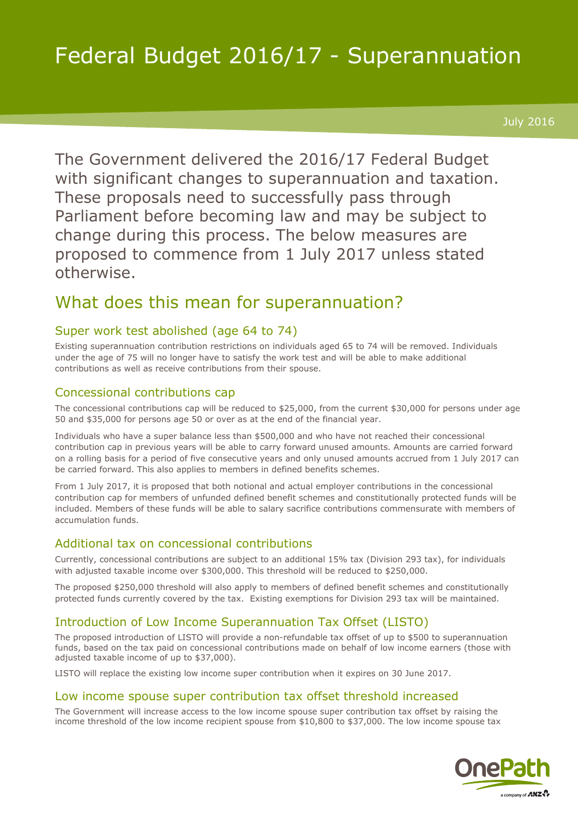# Federal Budget 2016/17 - Superannuation

July 2016

The Government delivered the 2016/17 Federal Budget with significant changes to superannuation and taxation. These proposals need to successfully pass through Parliament before becoming law and may be subject to change during this process. The below measures are proposed to commence from 1 July 2017 unless stated otherwise.

# What does this mean for superannuation?

# Super work test abolished (age 64 to 74)

Existing superannuation contribution restrictions on individuals aged 65 to 74 will be removed. Individuals under the age of 75 will no longer have to satisfy the work test and will be able to make additional contributions as well as receive contributions from their spouse.

#### Concessional contributions cap

The concessional contributions cap will be reduced to \$25,000, from the current \$30,000 for persons under age 50 and \$35,000 for persons age 50 or over as at the end of the financial year.

Individuals who have a super balance less than \$500,000 and who have not reached their concessional contribution cap in previous years will be able to carry forward unused amounts. Amounts are carried forward on a rolling basis for a period of five consecutive years and only unused amounts accrued from 1 July 2017 can be carried forward. This also applies to members in defined benefits schemes.

From 1 July 2017, it is proposed that both notional and actual employer contributions in the concessional contribution cap for members of unfunded defined benefit schemes and constitutionally protected funds will be included. Members of these funds will be able to salary sacrifice contributions commensurate with members of accumulation funds.

#### Additional tax on concessional contributions

Currently, concessional contributions are subject to an additional 15% tax (Division 293 tax), for individuals with adjusted taxable income over \$300,000. This threshold will be reduced to \$250,000.

The proposed \$250,000 threshold will also apply to members of defined benefit schemes and constitutionally protected funds currently covered by the tax. Existing exemptions for Division 293 tax will be maintained.

# Introduction of Low Income Superannuation Tax Offset (LISTO)

The proposed introduction of LISTO will provide a non-refundable tax offset of up to \$500 to superannuation funds, based on the tax paid on concessional contributions made on behalf of low income earners (those with adjusted taxable income of up to \$37,000).

LISTO will replace the existing low income super contribution when it expires on 30 June 2017.

#### Low income spouse super contribution tax offset threshold increased

The Government will increase access to the low income spouse super contribution tax offset by raising the income threshold of the low income recipient spouse from \$10,800 to \$37,000. The low income spouse tax

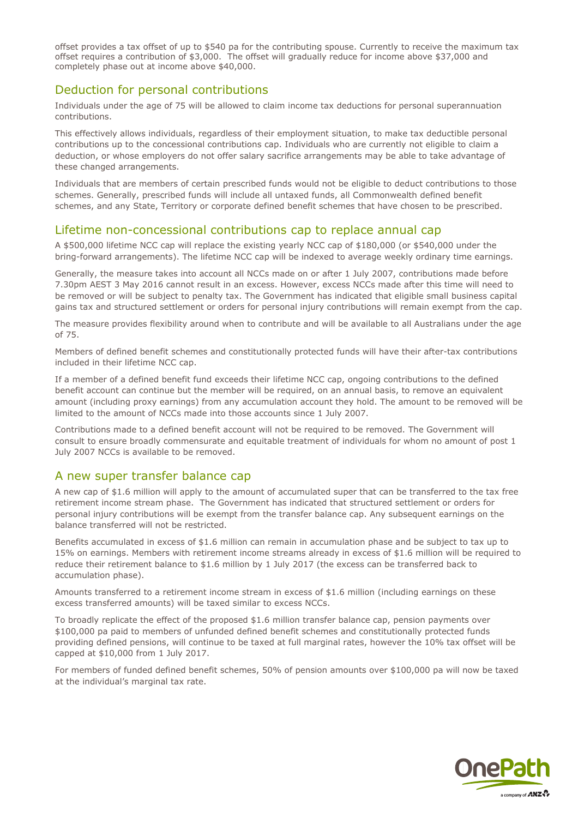offset provides a tax offset of up to \$540 pa for the contributing spouse. Currently to receive the maximum tax offset requires a contribution of \$3,000. The offset will gradually reduce for income above \$37,000 and completely phase out at income above \$40,000.

#### Deduction for personal contributions

Individuals under the age of 75 will be allowed to claim income tax deductions for personal superannuation contributions.

This effectively allows individuals, regardless of their employment situation, to make tax deductible personal contributions up to the concessional contributions cap. Individuals who are currently not eligible to claim a deduction, or whose employers do not offer salary sacrifice arrangements may be able to take advantage of these changed arrangements.

Individuals that are members of certain prescribed funds would not be eligible to deduct contributions to those schemes. Generally, prescribed funds will include all untaxed funds, all Commonwealth defined benefit schemes, and any State, Territory or corporate defined benefit schemes that have chosen to be prescribed.

#### Lifetime non-concessional contributions cap to replace annual cap

A \$500,000 lifetime NCC cap will replace the existing yearly NCC cap of \$180,000 (or \$540,000 under the bring-forward arrangements). The lifetime NCC cap will be indexed to average weekly ordinary time earnings.

Generally, the measure takes into account all NCCs made on or after 1 July 2007, contributions made before 7.30pm AEST 3 May 2016 cannot result in an excess. However, excess NCCs made after this time will need to be removed or will be subject to penalty tax. The Government has indicated that eligible small business capital gains tax and structured settlement or orders for personal injury contributions will remain exempt from the cap.

The measure provides flexibility around when to contribute and will be available to all Australians under the age of 75.

Members of defined benefit schemes and constitutionally protected funds will have their after-tax contributions included in their lifetime NCC cap.

If a member of a defined benefit fund exceeds their lifetime NCC cap, ongoing contributions to the defined benefit account can continue but the member will be required, on an annual basis, to remove an equivalent amount (including proxy earnings) from any accumulation account they hold. The amount to be removed will be limited to the amount of NCCs made into those accounts since 1 July 2007.

Contributions made to a defined benefit account will not be required to be removed. The Government will consult to ensure broadly commensurate and equitable treatment of individuals for whom no amount of post 1 July 2007 NCCs is available to be removed.

#### A new super transfer balance cap

A new cap of \$1.6 million will apply to the amount of accumulated super that can be transferred to the tax free retirement income stream phase. The Government has indicated that structured settlement or orders for personal injury contributions will be exempt from the transfer balance cap. Any subsequent earnings on the balance transferred will not be restricted.

Benefits accumulated in excess of \$1.6 million can remain in accumulation phase and be subject to tax up to 15% on earnings. Members with retirement income streams already in excess of \$1.6 million will be required to reduce their retirement balance to \$1.6 million by 1 July 2017 (the excess can be transferred back to accumulation phase).

Amounts transferred to a retirement income stream in excess of \$1.6 million (including earnings on these excess transferred amounts) will be taxed similar to excess NCCs.

To broadly replicate the effect of the proposed \$1.6 million transfer balance cap, pension payments over \$100,000 pa paid to members of unfunded defined benefit schemes and constitutionally protected funds providing defined pensions, will continue to be taxed at full marginal rates, however the 10% tax offset will be capped at \$10,000 from 1 July 2017.

For members of funded defined benefit schemes, 50% of pension amounts over \$100,000 pa will now be taxed at the individual's marginal tax rate.